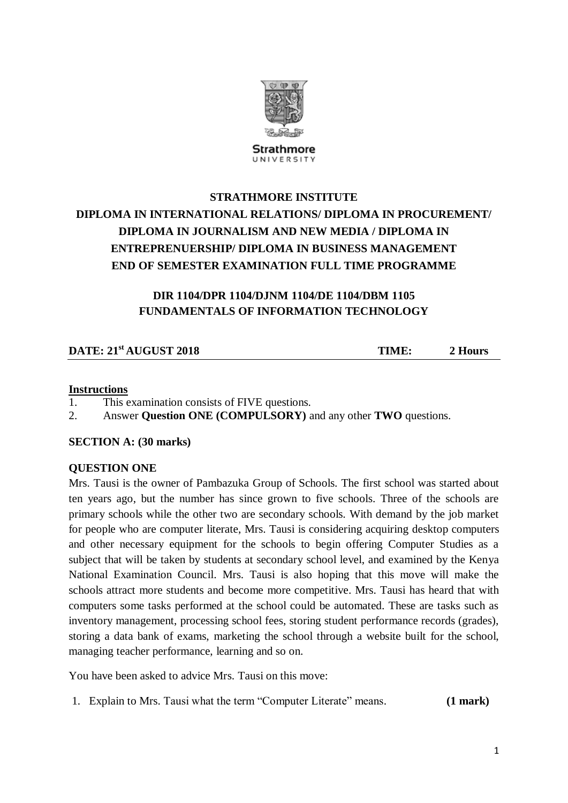

Strathmore UNIVERSITY

# **STRATHMORE INSTITUTE DIPLOMA IN INTERNATIONAL RELATIONS/ DIPLOMA IN PROCUREMENT/ DIPLOMA IN JOURNALISM AND NEW MEDIA / DIPLOMA IN ENTREPRENUERSHIP/ DIPLOMA IN BUSINESS MANAGEMENT END OF SEMESTER EXAMINATION FULL TIME PROGRAMME**

## **DIR 1104/DPR 1104/DJNM 1104/DE 1104/DBM 1105 FUNDAMENTALS OF INFORMATION TECHNOLOGY**

### **DATE:**  $21^{st}$  **AUGUST**  $2018$  **TIME: 2 Hours**

#### **Instructions**

- 1. This examination consists of FIVE questions.
- 2. Answer **Question ONE (COMPULSORY)** and any other **TWO** questions.

**SECTION A: (30 marks)**

#### **QUESTION ONE**

Mrs. Tausi is the owner of Pambazuka Group of Schools. The first school was started about ten years ago, but the number has since grown to five schools. Three of the schools are primary schools while the other two are secondary schools. With demand by the job market for people who are computer literate, Mrs. Tausi is considering acquiring desktop computers and other necessary equipment for the schools to begin offering Computer Studies as a subject that will be taken by students at secondary school level, and examined by the Kenya National Examination Council. Mrs. Tausi is also hoping that this move will make the schools attract more students and become more competitive. Mrs. Tausi has heard that with computers some tasks performed at the school could be automated. These are tasks such as inventory management, processing school fees, storing student performance records (grades), storing a data bank of exams, marketing the school through a website built for the school, managing teacher performance, learning and so on.

You have been asked to advice Mrs. Tausi on this move:

1. Explain to Mrs. Tausi what the term "Computer Literate" means. **(1 mark)**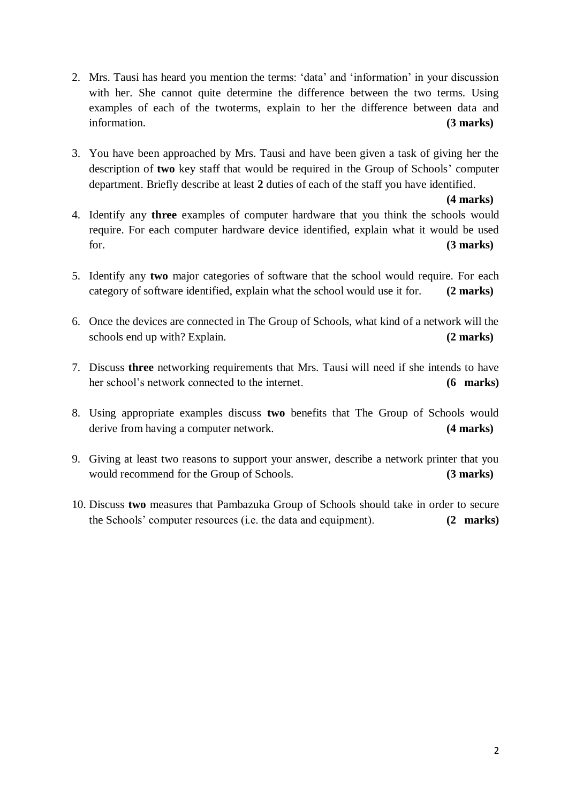- 2. Mrs. Tausi has heard you mention the terms: 'data' and 'information' in your discussion with her. She cannot quite determine the difference between the two terms. Using examples of each of the twoterms, explain to her the difference between data and information. **(3 marks)**
- 3. You have been approached by Mrs. Tausi and have been given a task of giving her the description of **two** key staff that would be required in the Group of Schools' computer department. Briefly describe at least **2** duties of each of the staff you have identified.

**(4 marks)**

- 4. Identify any **three** examples of computer hardware that you think the schools would require. For each computer hardware device identified, explain what it would be used for. **(3 marks)**
- 5. Identify any **two** major categories of software that the school would require. For each category of software identified, explain what the school would use it for. **(2 marks)**
- 6. Once the devices are connected in The Group of Schools, what kind of a network will the schools end up with? Explain. **(2 marks)**
- 7. Discuss **three** networking requirements that Mrs. Tausi will need if she intends to have her school's network connected to the internet. **(6 marks)**
- 8. Using appropriate examples discuss **two** benefits that The Group of Schools would derive from having a computer network. **(4 marks)**
- 9. Giving at least two reasons to support your answer, describe a network printer that you would recommend for the Group of Schools. **(3 marks)**
- 10. Discuss **two** measures that Pambazuka Group of Schools should take in order to secure the Schools' computer resources (i.e. the data and equipment). **(2 marks)**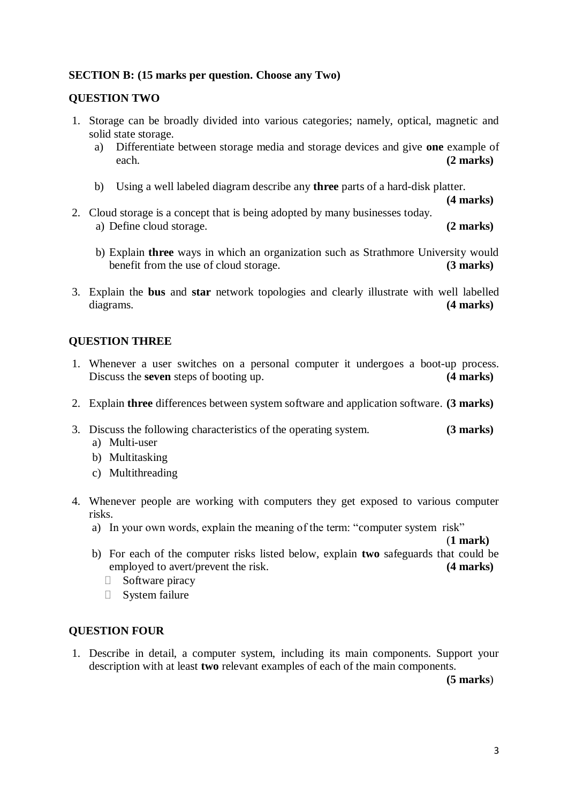#### **SECTION B: (15 marks per question. Choose any Two)**

#### **QUESTION TWO**

- 1. Storage can be broadly divided into various categories; namely, optical, magnetic and solid state storage.
	- a) Differentiate between storage media and storage devices and give **one** example of each. **(2 marks)**
	- b) Using a well labeled diagram describe any **three** parts of a hard-disk platter.

**(4 marks)**

- 2. Cloud storage is a concept that is being adopted by many businesses today. a) Define cloud storage. **(2 marks)**
	- b) Explain **three** ways in which an organization such as Strathmore University would benefit from the use of cloud storage. **(3 marks)**
- 3. Explain the **bus** and **star** network topologies and clearly illustrate with well labelled diagrams. **(4 marks)**

#### **QUESTION THREE**

- 1. Whenever a user switches on a personal computer it undergoes a boot-up process. Discuss the **seven** steps of booting up. **(4 marks)**
- 2. Explain **three** differences between system software and application software. **(3 marks)**
- 3. Discuss the following characteristics of the operating system. **(3 marks)**
	- a) Multi-user
	- b) Multitasking
	- c) Multithreading
- 4. Whenever people are working with computers they get exposed to various computer risks.
	- a) In your own words, explain the meaning of the term: "computer system risk"

(**1 mark)**

- b) For each of the computer risks listed below, explain **two** safeguards that could be employed to avert/prevent the risk. **(4 marks)**
	- $\Box$  Software piracy
	- System failure

#### **QUESTION FOUR**

1. Describe in detail, a computer system, including its main components. Support your description with at least **two** relevant examples of each of the main components.

**(5 marks**)